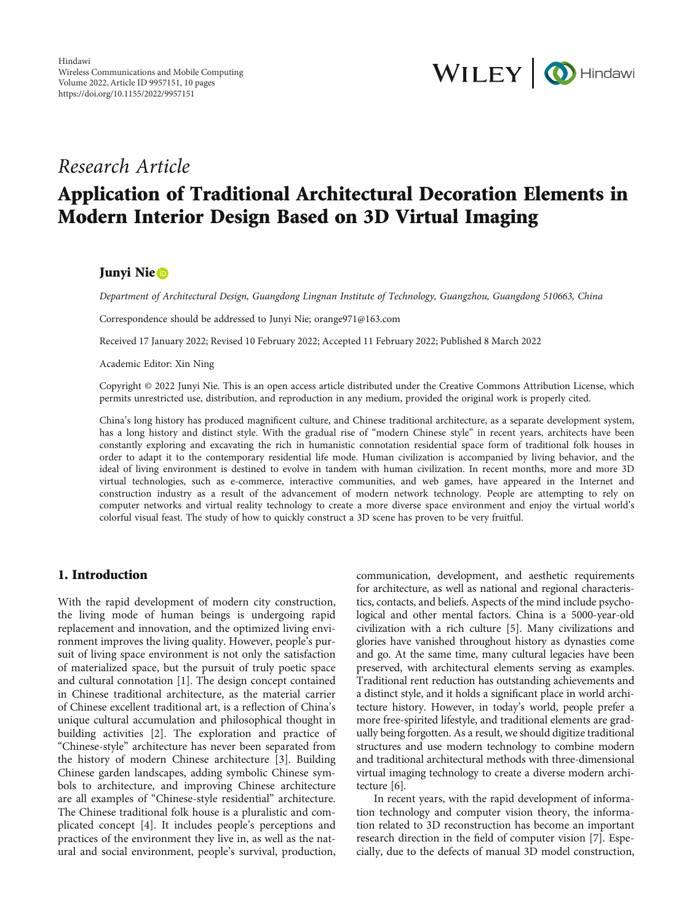

# Research Article

# Application of Traditional Architectural Decoration Elements in Modern Interior Design Based on 3D Virtual Imaging

## Junyi Nie

Department of Architectural Design, Guangdong Lingnan Institute of Technology, Guangzhou, Guangdong 510663, China

Correspondence should be addressed to Junyi Nie; orange971@163.com

Received 17 January 2022; Revised 10 February 2022; Accepted 11 February 2022; Published 8 March 2022

Academic Editor: Xin Ning

Copyright © 2022 Junyi Nie. This is an open access article distributed under the [Creative Commons Attribution License,](https://creativecommons.org/licenses/by/4.0/) which permits unrestricted use, distribution, and reproduction in any medium, provided the original work is properly cited.

China's long history has produced magnificent culture, and Chinese traditional architecture, as a separate development system, has a long history and distinct style. With the gradual rise of "modern Chinese style" in recent years, architects have been constantly exploring and excavating the rich in humanistic connotation residential space form of traditional folk houses in order to adapt it to the contemporary residential life mode. Human civilization is accompanied by living behavior, and the ideal of living environment is destined to evolve in tandem with human civilization. In recent months, more and more 3D virtual technologies, such as e-commerce, interactive communities, and web games, have appeared in the Internet and construction industry as a result of the advancement of modern network technology. People are attempting to rely on computer networks and virtual reality technology to create a more diverse space environment and enjoy the virtual world's colorful visual feast. The study of how to quickly construct a 3D scene has proven to be very fruitful.

## 1. Introduction

With the rapid development of modern city construction, the living mode of human beings is undergoing rapid replacement and innovation, and the optimized living environment improves the living quality. However, people's pursuit of living space environment is not only the satisfaction of materialized space, but the pursuit of truly poetic space and cultural connotation [[1](#page-8-0)]. The design concept contained in Chinese traditional architecture, as the material carrier of Chinese excellent traditional art, is a reflection of China's unique cultural accumulation and philosophical thought in building activities [[2\]](#page-8-0). The exploration and practice of "Chinese-style" architecture has never been separated from the history of modern Chinese architecture [[3\]](#page-8-0). Building Chinese garden landscapes, adding symbolic Chinese symbols to architecture, and improving Chinese architecture are all examples of "Chinese-style residential" architecture. The Chinese traditional folk house is a pluralistic and complicated concept [\[4\]](#page-8-0). It includes people's perceptions and practices of the environment they live in, as well as the natural and social environment, people's survival, production,

communication, development, and aesthetic requirements for architecture, as well as national and regional characteristics, contacts, and beliefs. Aspects of the mind include psychological and other mental factors. China is a 5000-year-old civilization with a rich culture [\[5](#page-8-0)]. Many civilizations and glories have vanished throughout history as dynasties come and go. At the same time, many cultural legacies have been preserved, with architectural elements serving as examples. Traditional rent reduction has outstanding achievements and a distinct style, and it holds a significant place in world architecture history. However, in today's world, people prefer a more free-spirited lifestyle, and traditional elements are gradually being forgotten. As a result, we should digitize traditional structures and use modern technology to combine modern and traditional architectural methods with three-dimensional virtual imaging technology to create a diverse modern architecture [[6\]](#page-8-0).

In recent years, with the rapid development of information technology and computer vision theory, the information related to 3D reconstruction has become an important research direction in the field of computer vision [\[7](#page-8-0)]. Especially, due to the defects of manual 3D model construction,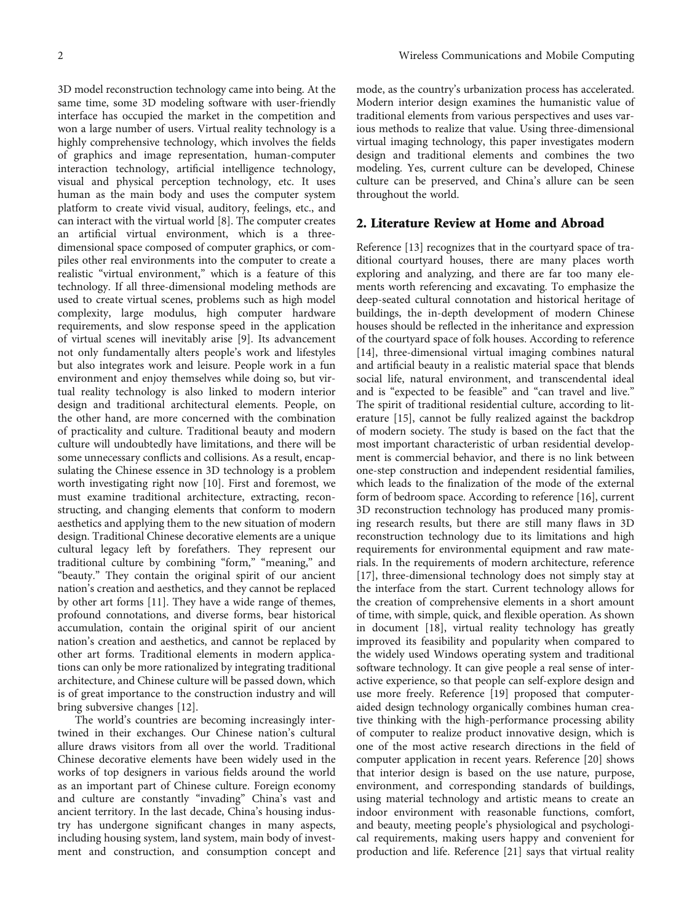3D model reconstruction technology came into being. At the same time, some 3D modeling software with user-friendly interface has occupied the market in the competition and won a large number of users. Virtual reality technology is a highly comprehensive technology, which involves the fields of graphics and image representation, human-computer interaction technology, artificial intelligence technology, visual and physical perception technology, etc. It uses human as the main body and uses the computer system platform to create vivid visual, auditory, feelings, etc., and can interact with the virtual world [[8\]](#page-8-0). The computer creates an artificial virtual environment, which is a threedimensional space composed of computer graphics, or compiles other real environments into the computer to create a realistic "virtual environment," which is a feature of this technology. If all three-dimensional modeling methods are used to create virtual scenes, problems such as high model complexity, large modulus, high computer hardware requirements, and slow response speed in the application of virtual scenes will inevitably arise [\[9\]](#page-8-0). Its advancement not only fundamentally alters people's work and lifestyles but also integrates work and leisure. People work in a fun environment and enjoy themselves while doing so, but virtual reality technology is also linked to modern interior design and traditional architectural elements. People, on the other hand, are more concerned with the combination of practicality and culture. Traditional beauty and modern culture will undoubtedly have limitations, and there will be some unnecessary conflicts and collisions. As a result, encapsulating the Chinese essence in 3D technology is a problem worth investigating right now [\[10\]](#page-8-0). First and foremost, we must examine traditional architecture, extracting, reconstructing, and changing elements that conform to modern aesthetics and applying them to the new situation of modern design. Traditional Chinese decorative elements are a unique cultural legacy left by forefathers. They represent our traditional culture by combining "form," "meaning," and "beauty." They contain the original spirit of our ancient nation's creation and aesthetics, and they cannot be replaced by other art forms [\[11\]](#page-8-0). They have a wide range of themes, profound connotations, and diverse forms, bear historical accumulation, contain the original spirit of our ancient nation's creation and aesthetics, and cannot be replaced by other art forms. Traditional elements in modern applications can only be more rationalized by integrating traditional architecture, and Chinese culture will be passed down, which is of great importance to the construction industry and will bring subversive changes [[12](#page-8-0)].

The world's countries are becoming increasingly intertwined in their exchanges. Our Chinese nation's cultural allure draws visitors from all over the world. Traditional Chinese decorative elements have been widely used in the works of top designers in various fields around the world as an important part of Chinese culture. Foreign economy and culture are constantly "invading" China's vast and ancient territory. In the last decade, China's housing industry has undergone significant changes in many aspects, including housing system, land system, main body of investment and construction, and consumption concept and

mode, as the country's urbanization process has accelerated. Modern interior design examines the humanistic value of traditional elements from various perspectives and uses various methods to realize that value. Using three-dimensional virtual imaging technology, this paper investigates modern design and traditional elements and combines the two modeling. Yes, current culture can be developed, Chinese culture can be preserved, and China's allure can be seen throughout the world.

# 2. Literature Review at Home and Abroad

Reference [\[13\]](#page-8-0) recognizes that in the courtyard space of traditional courtyard houses, there are many places worth exploring and analyzing, and there are far too many elements worth referencing and excavating. To emphasize the deep-seated cultural connotation and historical heritage of buildings, the in-depth development of modern Chinese houses should be reflected in the inheritance and expression of the courtyard space of folk houses. According to reference [\[14\]](#page-9-0), three-dimensional virtual imaging combines natural and artificial beauty in a realistic material space that blends social life, natural environment, and transcendental ideal and is "expected to be feasible" and "can travel and live." The spirit of traditional residential culture, according to literature [[15](#page-9-0)], cannot be fully realized against the backdrop of modern society. The study is based on the fact that the most important characteristic of urban residential development is commercial behavior, and there is no link between one-step construction and independent residential families, which leads to the finalization of the mode of the external form of bedroom space. According to reference [\[16\]](#page-9-0), current 3D reconstruction technology has produced many promising research results, but there are still many flaws in 3D reconstruction technology due to its limitations and high requirements for environmental equipment and raw materials. In the requirements of modern architecture, reference [\[17\]](#page-9-0), three-dimensional technology does not simply stay at the interface from the start. Current technology allows for the creation of comprehensive elements in a short amount of time, with simple, quick, and flexible operation. As shown in document [[18\]](#page-9-0), virtual reality technology has greatly improved its feasibility and popularity when compared to the widely used Windows operating system and traditional software technology. It can give people a real sense of interactive experience, so that people can self-explore design and use more freely. Reference [\[19\]](#page-9-0) proposed that computeraided design technology organically combines human creative thinking with the high-performance processing ability of computer to realize product innovative design, which is one of the most active research directions in the field of computer application in recent years. Reference [\[20\]](#page-9-0) shows that interior design is based on the use nature, purpose, environment, and corresponding standards of buildings, using material technology and artistic means to create an indoor environment with reasonable functions, comfort, and beauty, meeting people's physiological and psychological requirements, making users happy and convenient for production and life. Reference [[21](#page-9-0)] says that virtual reality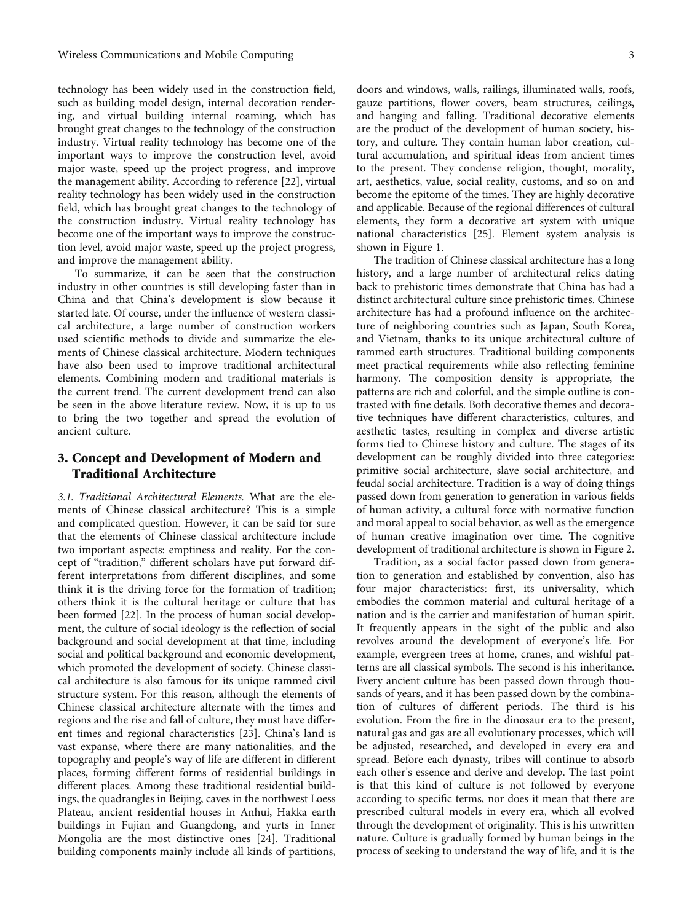technology has been widely used in the construction field, such as building model design, internal decoration rendering, and virtual building internal roaming, which has brought great changes to the technology of the construction industry. Virtual reality technology has become one of the important ways to improve the construction level, avoid major waste, speed up the project progress, and improve the management ability. According to reference [\[22\]](#page-9-0), virtual reality technology has been widely used in the construction field, which has brought great changes to the technology of the construction industry. Virtual reality technology has become one of the important ways to improve the construction level, avoid major waste, speed up the project progress, and improve the management ability.

To summarize, it can be seen that the construction industry in other countries is still developing faster than in China and that China's development is slow because it started late. Of course, under the influence of western classical architecture, a large number of construction workers used scientific methods to divide and summarize the elements of Chinese classical architecture. Modern techniques have also been used to improve traditional architectural elements. Combining modern and traditional materials is the current trend. The current development trend can also be seen in the above literature review. Now, it is up to us to bring the two together and spread the evolution of ancient culture.

# 3. Concept and Development of Modern and Traditional Architecture

3.1. Traditional Architectural Elements. What are the elements of Chinese classical architecture? This is a simple and complicated question. However, it can be said for sure that the elements of Chinese classical architecture include two important aspects: emptiness and reality. For the concept of "tradition," different scholars have put forward different interpretations from different disciplines, and some think it is the driving force for the formation of tradition; others think it is the cultural heritage or culture that has been formed [\[22\]](#page-9-0). In the process of human social development, the culture of social ideology is the reflection of social background and social development at that time, including social and political background and economic development, which promoted the development of society. Chinese classical architecture is also famous for its unique rammed civil structure system. For this reason, although the elements of Chinese classical architecture alternate with the times and regions and the rise and fall of culture, they must have different times and regional characteristics [[23](#page-9-0)]. China's land is vast expanse, where there are many nationalities, and the topography and people's way of life are different in different places, forming different forms of residential buildings in different places. Among these traditional residential buildings, the quadrangles in Beijing, caves in the northwest Loess Plateau, ancient residential houses in Anhui, Hakka earth buildings in Fujian and Guangdong, and yurts in Inner Mongolia are the most distinctive ones [[24](#page-9-0)]. Traditional building components mainly include all kinds of partitions, doors and windows, walls, railings, illuminated walls, roofs, gauze partitions, flower covers, beam structures, ceilings, and hanging and falling. Traditional decorative elements are the product of the development of human society, history, and culture. They contain human labor creation, cultural accumulation, and spiritual ideas from ancient times to the present. They condense religion, thought, morality, art, aesthetics, value, social reality, customs, and so on and become the epitome of the times. They are highly decorative and applicable. Because of the regional differences of cultural elements, they form a decorative art system with unique national characteristics [[25](#page-9-0)]. Element system analysis is shown in Figure [1](#page-3-0).

The tradition of Chinese classical architecture has a long history, and a large number of architectural relics dating back to prehistoric times demonstrate that China has had a distinct architectural culture since prehistoric times. Chinese architecture has had a profound influence on the architecture of neighboring countries such as Japan, South Korea, and Vietnam, thanks to its unique architectural culture of rammed earth structures. Traditional building components meet practical requirements while also reflecting feminine harmony. The composition density is appropriate, the patterns are rich and colorful, and the simple outline is contrasted with fine details. Both decorative themes and decorative techniques have different characteristics, cultures, and aesthetic tastes, resulting in complex and diverse artistic forms tied to Chinese history and culture. The stages of its development can be roughly divided into three categories: primitive social architecture, slave social architecture, and feudal social architecture. Tradition is a way of doing things passed down from generation to generation in various fields of human activity, a cultural force with normative function and moral appeal to social behavior, as well as the emergence of human creative imagination over time. The cognitive development of traditional architecture is shown in Figure [2.](#page-3-0)

Tradition, as a social factor passed down from generation to generation and established by convention, also has four major characteristics: first, its universality, which embodies the common material and cultural heritage of a nation and is the carrier and manifestation of human spirit. It frequently appears in the sight of the public and also revolves around the development of everyone's life. For example, evergreen trees at home, cranes, and wishful patterns are all classical symbols. The second is his inheritance. Every ancient culture has been passed down through thousands of years, and it has been passed down by the combination of cultures of different periods. The third is his evolution. From the fire in the dinosaur era to the present, natural gas and gas are all evolutionary processes, which will be adjusted, researched, and developed in every era and spread. Before each dynasty, tribes will continue to absorb each other's essence and derive and develop. The last point is that this kind of culture is not followed by everyone according to specific terms, nor does it mean that there are prescribed cultural models in every era, which all evolved through the development of originality. This is his unwritten nature. Culture is gradually formed by human beings in the process of seeking to understand the way of life, and it is the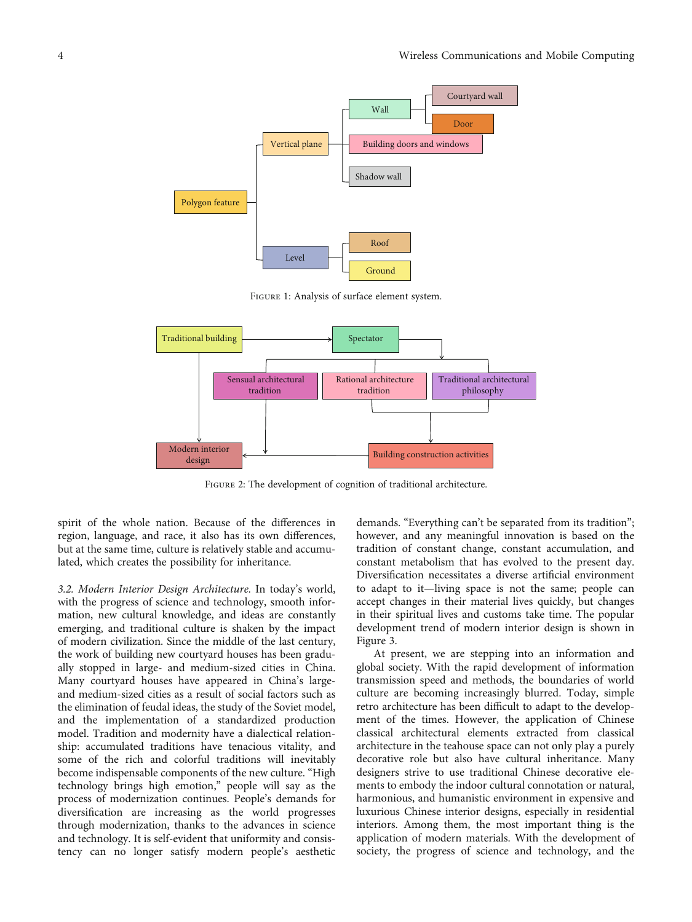<span id="page-3-0"></span>

Figure 1: Analysis of surface element system.



Figure 2: The development of cognition of traditional architecture.

spirit of the whole nation. Because of the differences in region, language, and race, it also has its own differences, but at the same time, culture is relatively stable and accumulated, which creates the possibility for inheritance.

3.2. Modern Interior Design Architecture. In today's world, with the progress of science and technology, smooth information, new cultural knowledge, and ideas are constantly emerging, and traditional culture is shaken by the impact of modern civilization. Since the middle of the last century, the work of building new courtyard houses has been gradually stopped in large- and medium-sized cities in China. Many courtyard houses have appeared in China's largeand medium-sized cities as a result of social factors such as the elimination of feudal ideas, the study of the Soviet model, and the implementation of a standardized production model. Tradition and modernity have a dialectical relationship: accumulated traditions have tenacious vitality, and some of the rich and colorful traditions will inevitably become indispensable components of the new culture. "High technology brings high emotion," people will say as the process of modernization continues. People's demands for diversification are increasing as the world progresses through modernization, thanks to the advances in science and technology. It is self-evident that uniformity and consistency can no longer satisfy modern people's aesthetic demands. "Everything can't be separated from its tradition"; however, and any meaningful innovation is based on the tradition of constant change, constant accumulation, and constant metabolism that has evolved to the present day. Diversification necessitates a diverse artificial environment to adapt to it—living space is not the same; people can accept changes in their material lives quickly, but changes in their spiritual lives and customs take time. The popular development trend of modern interior design is shown in Figure [3](#page-4-0).

At present, we are stepping into an information and global society. With the rapid development of information transmission speed and methods, the boundaries of world culture are becoming increasingly blurred. Today, simple retro architecture has been difficult to adapt to the development of the times. However, the application of Chinese classical architectural elements extracted from classical architecture in the teahouse space can not only play a purely decorative role but also have cultural inheritance. Many designers strive to use traditional Chinese decorative elements to embody the indoor cultural connotation or natural, harmonious, and humanistic environment in expensive and luxurious Chinese interior designs, especially in residential interiors. Among them, the most important thing is the application of modern materials. With the development of society, the progress of science and technology, and the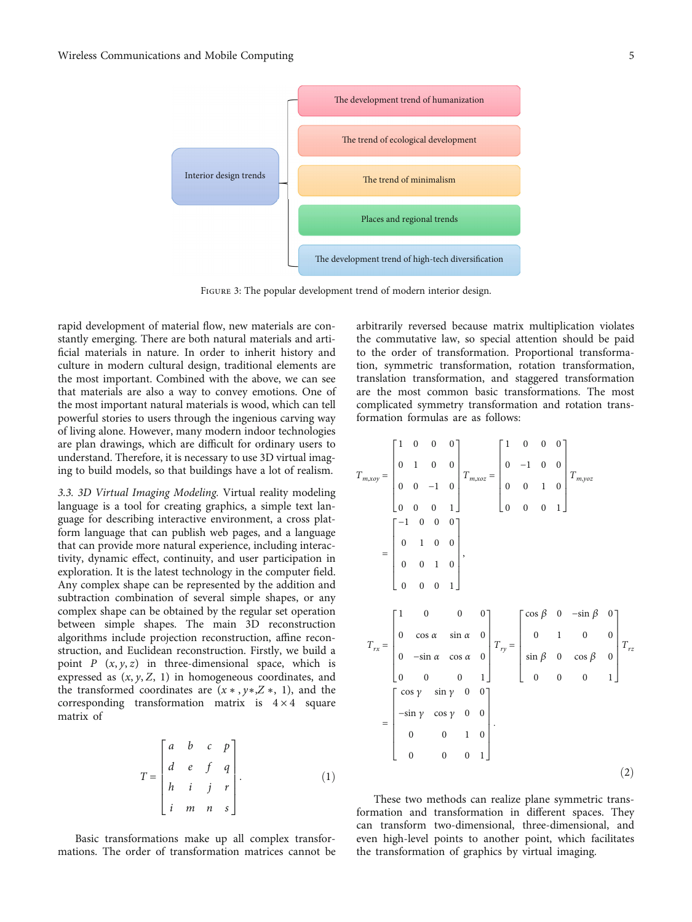<span id="page-4-0"></span>

FIGURE 3: The popular development trend of modern interior design.

rapid development of material flow, new materials are constantly emerging. There are both natural materials and artificial materials in nature. In order to inherit history and culture in modern cultural design, traditional elements are the most important. Combined with the above, we can see that materials are also a way to convey emotions. One of the most important natural materials is wood, which can tell powerful stories to users through the ingenious carving way of living alone. However, many modern indoor technologies are plan drawings, which are difficult for ordinary users to understand. Therefore, it is necessary to use 3D virtual imaging to build models, so that buildings have a lot of realism.

3.3. 3D Virtual Imaging Modeling. Virtual reality modeling language is a tool for creating graphics, a simple text language for describing interactive environment, a cross platform language that can publish web pages, and a language that can provide more natural experience, including interactivity, dynamic effect, continuity, and user participation in exploration. It is the latest technology in the computer field. Any complex shape can be represented by the addition and subtraction combination of several simple shapes, or any complex shape can be obtained by the regular set operation between simple shapes. The main 3D reconstruction algorithms include projection reconstruction, affine reconstruction, and Euclidean reconstruction. Firstly, we build a point  $P(x, y, z)$  in three-dimensional space, which is expressed as (*x*, *y*, *Z*, 1) in homogeneous coordinates, and the transformed coordinates are (*x* ∗ , *y*∗,*Z* ∗, 1), and the corresponding transformation matrix is  $4 \times 4$  square matrix of

$$
T = \begin{bmatrix} a & b & c & p \\ d & e & f & q \\ h & i & j & r \\ i & m & n & s \end{bmatrix}.
$$
 (1)

Basic transformations make up all complex transformations. The order of transformation matrices cannot be arbitrarily reversed because matrix multiplication violates the commutative law, so special attention should be paid to the order of transformation. Proportional transformation, symmetric transformation, rotation transformation, translation transformation, and staggered transformation are the most common basic transformations. The most complicated symmetry transformation and rotation transformation formulas are as follows:

$$
T_{m, xoy} = \begin{bmatrix} 1 & 0 & 0 & 0 \\ 0 & 1 & 0 & 0 \\ 0 & 0 & -1 & 0 \\ 0 & 0 & 0 & 1 \end{bmatrix} T_{m, xoz} = \begin{bmatrix} 1 & 0 & 0 & 0 \\ 0 & -1 & 0 & 0 \\ 0 & 0 & 1 & 0 \\ 0 & 0 & 0 & 1 \end{bmatrix} T_{m, yoz}
$$

$$
= \begin{bmatrix} -1 & 0 & 0 & 0 \\ 0 & 1 & 0 & 0 \\ 0 & 0 & 1 & 0 \\ 0 & 0 & 0 & 1 \end{bmatrix},
$$

$$
T_{rx} = \begin{bmatrix} 1 & 0 & 0 & 0 \\ 0 & \cos \alpha & \sin \alpha & 0 \\ 0 & -\sin \alpha & \cos \alpha & 0 \\ 0 & 0 & 0 & 1 \end{bmatrix} T_{ry} = \begin{bmatrix} \cos \beta & 0 & -\sin \beta & 0 \\ 0 & 1 & 0 & 0 \\ \sin \beta & 0 & \cos \beta & 0 \\ 0 & 0 & 0 & 1 \end{bmatrix} T_{rz}
$$

$$
= \begin{bmatrix} \cos \gamma & \sin \gamma & 0 & 0 \\ -\sin \gamma & \cos \gamma & 0 & 0 \\ 0 & 0 & 1 & 0 \\ 0 & 0 & 0 & 1 \end{bmatrix}.
$$
(2)

These two methods can realize plane symmetric transformation and transformation in different spaces. They can transform two-dimensional, three-dimensional, and even high-level points to another point, which facilitates the transformation of graphics by virtual imaging.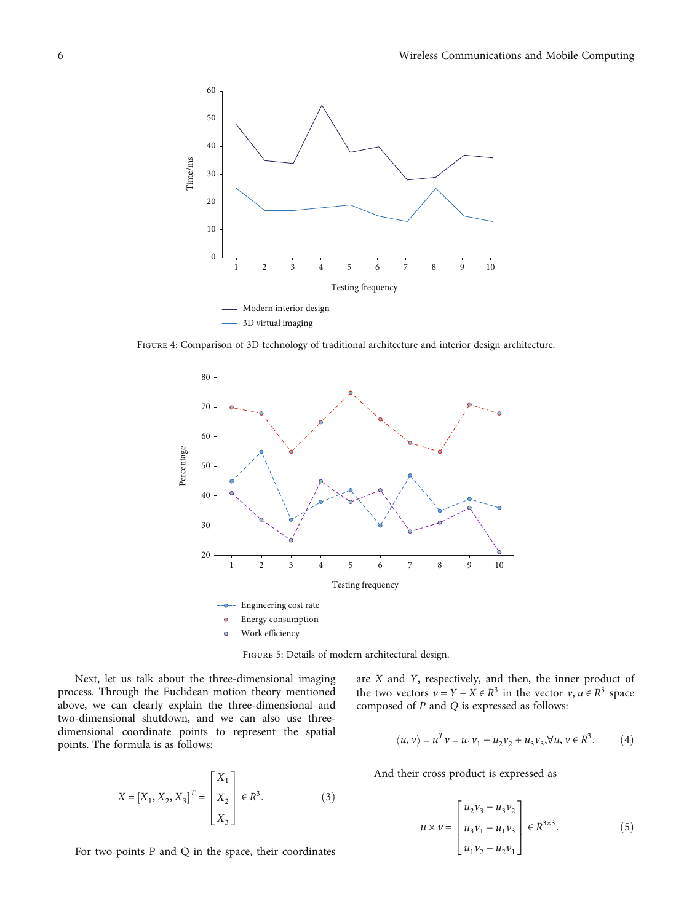<span id="page-5-0"></span>

Figure 4: Comparison of 3D technology of traditional architecture and interior design architecture.



Figure 5: Details of modern architectural design.

Next, let us talk about the three-dimensional imaging process. Through the Euclidean motion theory mentioned above, we can clearly explain the three-dimensional and two-dimensional shutdown, and we can also use threedimensional coordinate points to represent the spatial points. The formula is as follows:

$$
X = [X_1, X_2, X_3]^T = \begin{bmatrix} X_1 \\ X_2 \\ X_3 \end{bmatrix} \in R^3.
$$
 (3)

For two points P and Q in the space, their coordinates

are *X* and *Y*, respectively, and then, the inner product of the two vectors  $v = Y - X \in \mathbb{R}^3$  in the vector  $v, u \in \mathbb{R}^3$  space composed of *P* and *Q* is expressed as follows:

$$
\langle u, v \rangle = u^T v = u_1 v_1 + u_2 v_2 + u_3 v_3, \forall u, v \in \mathbb{R}^3. \tag{4}
$$

And their cross product is expressed as

$$
u \times v = \begin{bmatrix} u_2 v_3 - u_3 v_2 \\ u_3 v_1 - u_1 v_3 \\ u_1 v_2 - u_2 v_1 \end{bmatrix} \in R^{3 \times 3}.
$$
 (5)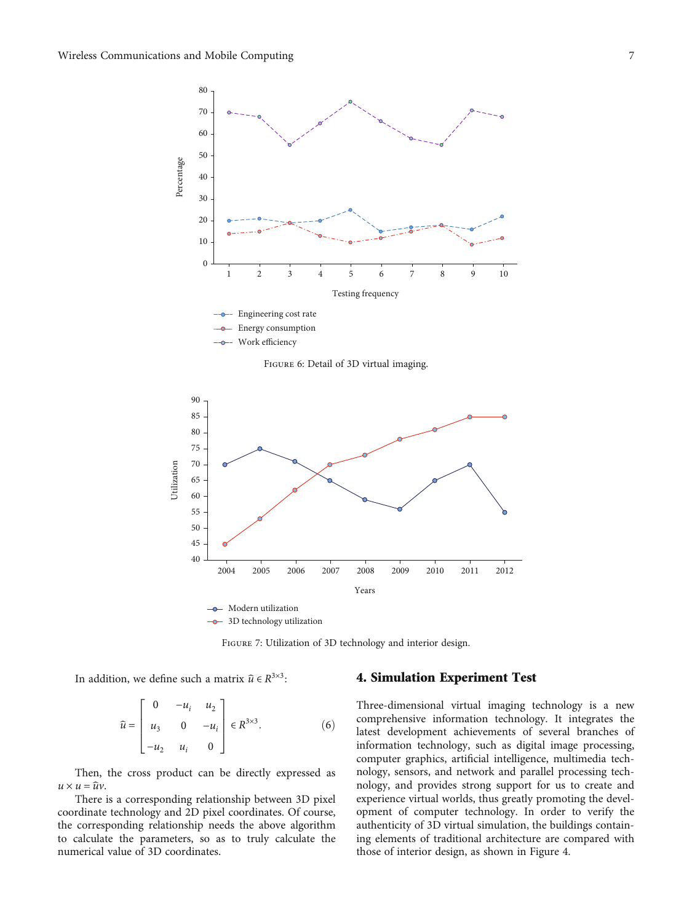<span id="page-6-0"></span>

Figure 6: Detail of 3D virtual imaging.



Figure 7: Utilization of 3D technology and interior design.

In addition, we define such a matrix  $\hat{u} \in R^{3 \times 3}$ :

$$
\hat{u} = \begin{bmatrix} 0 & -u_i & u_2 \\ u_3 & 0 & -u_i \\ -u_2 & u_i & 0 \end{bmatrix} \in R^{3 \times 3}.
$$
 (6)

Then, the cross product can be directly expressed as  $u \times u = \hat{u}v$ .

There is a corresponding relationship between 3D pixel coordinate technology and 2D pixel coordinates. Of course, the corresponding relationship needs the above algorithm to calculate the parameters, so as to truly calculate the numerical value of 3D coordinates.

#### 4. Simulation Experiment Test

Three-dimensional virtual imaging technology is a new comprehensive information technology. It integrates the latest development achievements of several branches of information technology, such as digital image processing, computer graphics, artificial intelligence, multimedia technology, sensors, and network and parallel processing technology, and provides strong support for us to create and experience virtual worlds, thus greatly promoting the development of computer technology. In order to verify the authenticity of 3D virtual simulation, the buildings containing elements of traditional architecture are compared with those of interior design, as shown in Figure [4.](#page-5-0)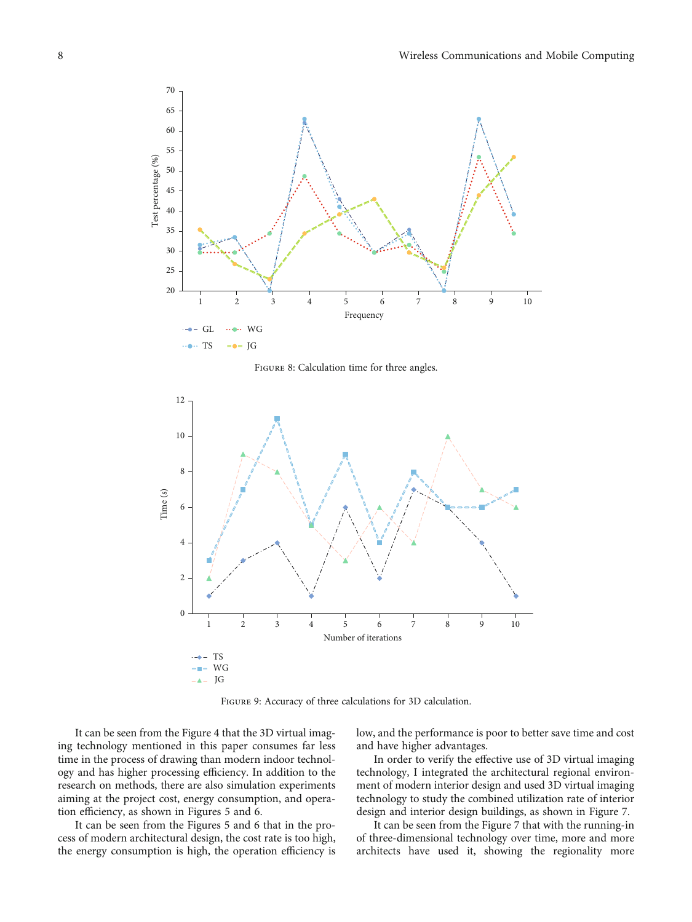<span id="page-7-0"></span>

FIGURE 8: Calculation time for three angles.



Figure 9: Accuracy of three calculations for 3D calculation.

It can be seen from the Figure [4](#page-5-0) that the 3D virtual imaging technology mentioned in this paper consumes far less time in the process of drawing than modern indoor technology and has higher processing efficiency. In addition to the research on methods, there are also simulation experiments aiming at the project cost, energy consumption, and operation efficiency, as shown in Figures [5](#page-5-0) and [6](#page-6-0).

It can be seen from the Figures [5](#page-5-0) and [6](#page-6-0) that in the process of modern architectural design, the cost rate is too high, the energy consumption is high, the operation efficiency is

low, and the performance is poor to better save time and cost and have higher advantages.

In order to verify the effective use of 3D virtual imaging technology, I integrated the architectural regional environment of modern interior design and used 3D virtual imaging technology to study the combined utilization rate of interior design and interior design buildings, as shown in Figure [7.](#page-6-0)

It can be seen from the Figure [7](#page-6-0) that with the running-in of three-dimensional technology over time, more and more architects have used it, showing the regionality more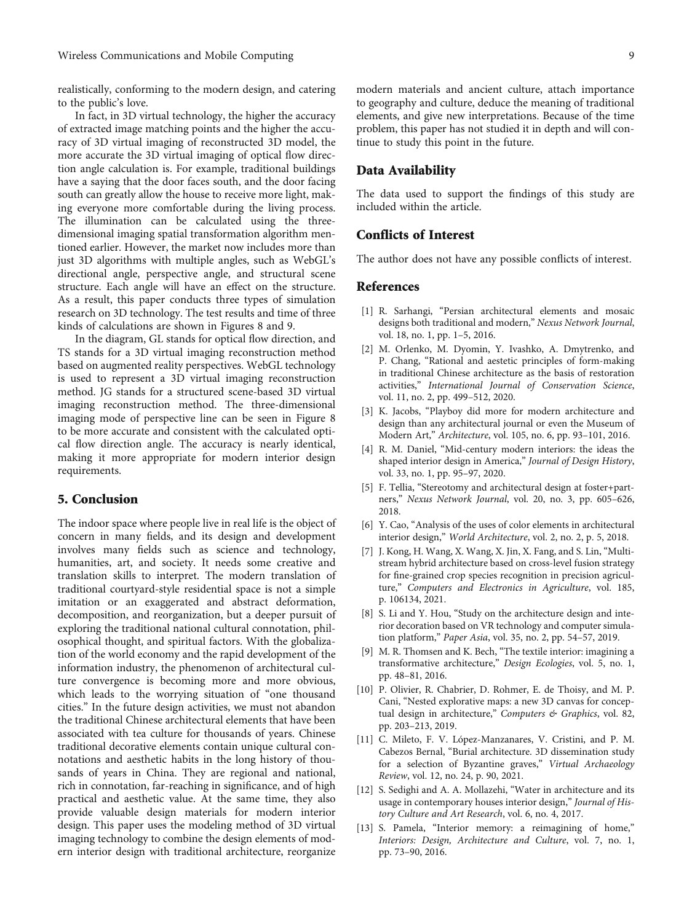<span id="page-8-0"></span>realistically, conforming to the modern design, and catering to the public's love.

In fact, in 3D virtual technology, the higher the accuracy of extracted image matching points and the higher the accuracy of 3D virtual imaging of reconstructed 3D model, the more accurate the 3D virtual imaging of optical flow direction angle calculation is. For example, traditional buildings have a saying that the door faces south, and the door facing south can greatly allow the house to receive more light, making everyone more comfortable during the living process. The illumination can be calculated using the threedimensional imaging spatial transformation algorithm mentioned earlier. However, the market now includes more than just 3D algorithms with multiple angles, such as WebGL's directional angle, perspective angle, and structural scene structure. Each angle will have an effect on the structure. As a result, this paper conducts three types of simulation research on 3D technology. The test results and time of three kinds of calculations are shown in Figures [8](#page-7-0) and [9.](#page-7-0)

In the diagram, GL stands for optical flow direction, and TS stands for a 3D virtual imaging reconstruction method based on augmented reality perspectives. WebGL technology is used to represent a 3D virtual imaging reconstruction method. JG stands for a structured scene-based 3D virtual imaging reconstruction method. The three-dimensional imaging mode of perspective line can be seen in Figure [8](#page-7-0) to be more accurate and consistent with the calculated optical flow direction angle. The accuracy is nearly identical, making it more appropriate for modern interior design requirements.

# 5. Conclusion

The indoor space where people live in real life is the object of concern in many fields, and its design and development involves many fields such as science and technology, humanities, art, and society. It needs some creative and translation skills to interpret. The modern translation of traditional courtyard-style residential space is not a simple imitation or an exaggerated and abstract deformation, decomposition, and reorganization, but a deeper pursuit of exploring the traditional national cultural connotation, philosophical thought, and spiritual factors. With the globalization of the world economy and the rapid development of the information industry, the phenomenon of architectural culture convergence is becoming more and more obvious, which leads to the worrying situation of "one thousand cities." In the future design activities, we must not abandon the traditional Chinese architectural elements that have been associated with tea culture for thousands of years. Chinese traditional decorative elements contain unique cultural connotations and aesthetic habits in the long history of thousands of years in China. They are regional and national, rich in connotation, far-reaching in significance, and of high practical and aesthetic value. At the same time, they also provide valuable design materials for modern interior design. This paper uses the modeling method of 3D virtual imaging technology to combine the design elements of modern interior design with traditional architecture, reorganize

modern materials and ancient culture, attach importance to geography and culture, deduce the meaning of traditional elements, and give new interpretations. Because of the time problem, this paper has not studied it in depth and will continue to study this point in the future.

#### Data Availability

The data used to support the findings of this study are included within the article.

## Conflicts of Interest

The author does not have any possible conflicts of interest.

#### References

- [1] R. Sarhangi, "Persian architectural elements and mosaic designs both traditional and modern," Nexus Network Journal, vol. 18, no. 1, pp. 1–5, 2016.
- [2] M. Orlenko, M. Dyomin, Y. Ivashko, A. Dmytrenko, and P. Chang, "Rational and aestetic principles of form-making in traditional Chinese architecture as the basis of restoration activities," International Journal of Conservation Science, vol. 11, no. 2, pp. 499–512, 2020.
- [3] K. Jacobs, "Playboy did more for modern architecture and design than any architectural journal or even the Museum of Modern Art," Architecture, vol. 105, no. 6, pp. 93–101, 2016.
- [4] R. M. Daniel, "Mid-century modern interiors: the ideas the shaped interior design in America," Journal of Design History, vol. 33, no. 1, pp. 95–97, 2020.
- [5] F. Tellia, "Stereotomy and architectural design at foster+partners," Nexus Network Journal, vol. 20, no. 3, pp. 605–626, 2018.
- [6] Y. Cao, "Analysis of the uses of color elements in architectural interior design," World Architecture, vol. 2, no. 2, p. 5, 2018.
- [7] J. Kong, H. Wang, X. Wang, X. Jin, X. Fang, and S. Lin, "Multistream hybrid architecture based on cross-level fusion strategy for fine-grained crop species recognition in precision agriculture," Computers and Electronics in Agriculture, vol. 185, p. 106134, 2021.
- [8] S. Li and Y. Hou, "Study on the architecture design and interior decoration based on VR technology and computer simulation platform," Paper Asia, vol. 35, no. 2, pp. 54–57, 2019.
- [9] M. R. Thomsen and K. Bech, "The textile interior: imagining a transformative architecture," Design Ecologies, vol. 5, no. 1, pp. 48–81, 2016.
- [10] P. Olivier, R. Chabrier, D. Rohmer, E. de Thoisy, and M. P. Cani, "Nested explorative maps: a new 3D canvas for conceptual design in architecture," Computers & Graphics, vol. 82, pp. 203–213, 2019.
- [11] C. Mileto, F. V. López-Manzanares, V. Cristini, and P. M. Cabezos Bernal, "Burial architecture. 3D dissemination study for a selection of Byzantine graves," Virtual Archaeology Review, vol. 12, no. 24, p. 90, 2021.
- [12] S. Sedighi and A. A. Mollazehi, "Water in architecture and its usage in contemporary houses interior design," Journal of History Culture and Art Research, vol. 6, no. 4, 2017.
- [13] S. Pamela, "Interior memory: a reimagining of home," Interiors: Design, Architecture and Culture, vol. 7, no. 1, pp. 73–90, 2016.